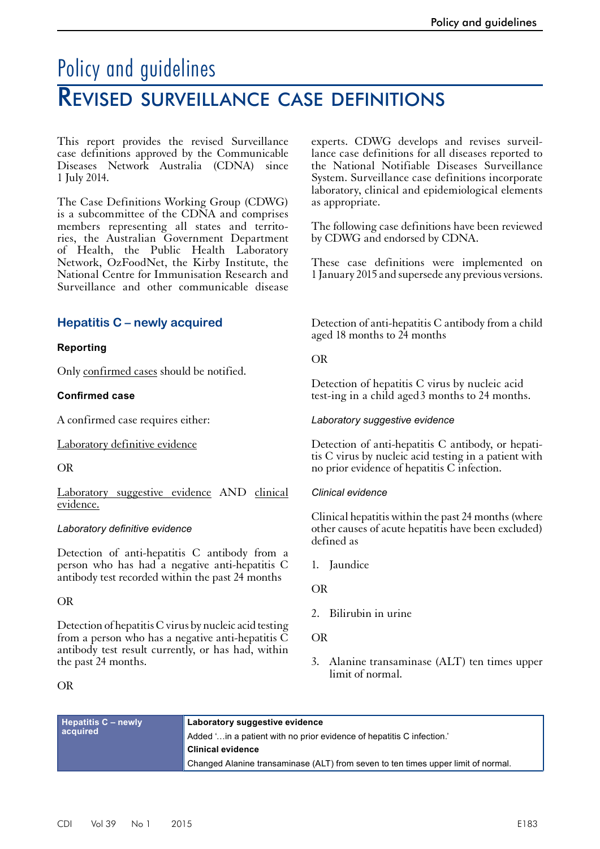# Policy and guidelines Revised surveillance case definitions

This report provides the revised Surveillance case definitions approved by the Communicable Diseases Network Australia (CDNA) since 1 July 2014.

The Case Definitions Working Group (CDWG) is a subcommittee of the CDNA and comprises members representing all states and territories, the Australian Government Department of Health, the Public Health Laboratory Network, OzFoodNet, the Kirby Institute, the National Centre for Immunisation Research and Surveillance and other communicable disease

# **Hepatitis C – newly acquired**

## **Reporting**

Only confirmed cases should be notified.

#### **Confirmed case**

A confirmed case requires either:

Laboratory definitive evidence

#### OR

Laboratory suggestive evidence AND clinical evidence.

#### *Laboratory definitive evidence*

Detection of anti-hepatitis C antibody from a person who has had a negative anti-hepatitis C antibody test recorded within the past 24 months

## OR

Detection of hepatitis C virus by nucleic acid testing from a person who has a negative anti-hepatitis  $\tilde{C}$ antibody test result currently, or has had, within the past 24 months.

#### OR

experts. CDWG develops and revises surveillance case definitions for all diseases reported to the National Notifiable Diseases Surveillance System. Surveillance case definitions incorporate laboratory, clinical and epidemiological elements as appropriate.

The following case definitions have been reviewed by CDWG and endorsed by CDNA.

These case definitions were implemented on 1 January 2015 and supersede any previous versions.

Detection of anti-hepatitis C antibody from a child aged 18 months to 24 months

#### OR

Detection of hepatitis C virus by nucleic acid test-ing in a child aged 3 months to 24 months.

#### *Laboratory suggestive evidence*

Detection of anti-hepatitis C antibody, or hepatitis C virus by nucleic acid testing in a patient with no prior evidence of hepatitis C infection.

#### *Clinical evidence*

Clinical hepatitis within the past 24 months (where other causes of acute hepatitis have been excluded) defined as

1. Jaundice

OR

2. Bilirubin in urine

#### OR

3. Alanine transaminase (ALT) ten times upper limit of normal.

| Hepatitis C - newly<br>acquired | Laboratory suggestive evidence                                                    |
|---------------------------------|-----------------------------------------------------------------------------------|
|                                 | Added 'in a patient with no prior evidence of hepatitis C infection.'             |
|                                 | <b>Clinical evidence</b>                                                          |
|                                 | Changed Alanine transaminase (ALT) from seven to ten times upper limit of normal. |